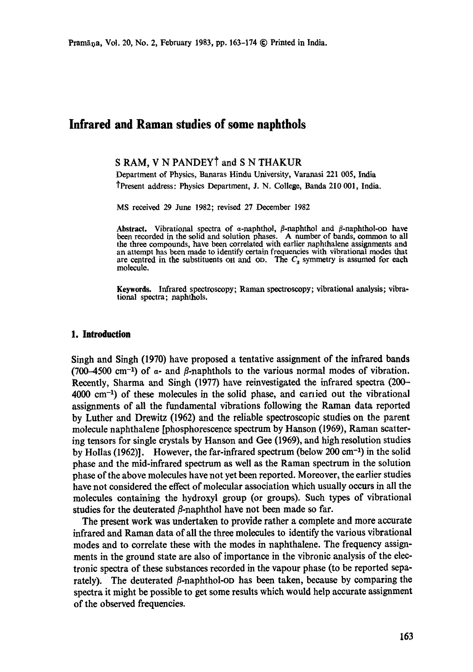# **Infrared and Raman studies of some naphthols**

## **S RAM, V N PANDEYt and S N** THAKUR

Department of Physics, Banaras Hindu University, Varanasi 221 005, India tPresent address: Physics Department, J. N. College, Banda 210 001, India.

MS received 29 June 1982; revised 27 December 1982

Abstract. Vibrational spectra of a-naphthol,  $\beta$ -naphthol and  $\beta$ -naphthol-op have been recorded in the solid and solution phases. A number of bands, common to all the three compounds, have been correlated with earlier naphthalene assignments and an attempt has been made to identify certain frequencies with vibrational modes that are centred in the substituents oh and op. The  $C_s$  symmetry is assumed for each molecule.

Keywords. Infrared spectroscopy; Raman spectroscopy; vibrational analysis; vibrational spectra; naphthols.

#### **1. Introduction**

Singh and Singh (1970) have proposed a tentative assignment of the infrared bands (700-4500 cm<sup>-1</sup>) of  $\alpha$ - and  $\beta$ -naphthols to the various normal modes of vibration. Recently, Sharma and Singh (1977) have reinvestigated the infrared spectra (200-  $4000 \text{ cm}^{-1}$ ) of these molecules in the solid phase, and carried out the vibrational assignments of all the fundamental vibrations following the Raman data reported by Luther and Drewitz 0962) and the reliable spectroscopic studies on the parent molecule naphthalene [phosphorescence spectrum by Hanson (1969), Raman scattering tensors for single crystals by Hanson and Gee (1969), and high resolution studies by Hollas (1962)]. However, the far-infrared spectrum (below 200  $cm^{-1}$ ) in the solid phase and the mid-infrared spectrum as well as the Raman spectrum in the solution phase of the above molecules have not yet been reported. Moreover, the earlier studies have not considered the effect of molecular association which usually occurs in all the molecules containing the hydroxyl group (or groups). Such types of vibrational studies for the deuterated  $\beta$ -naphthol have not been made so far.

The present work was undertaken to provide rather a complete and more accurate infrared and Raman data of all the three molecules to identify the various vibrational modes and to correlate these with the modes in naphthalene. The frequency assignments in the ground state are also of importance in the vibronic analysis of the electronic spectra of these substances recorded in the vapour phase (to be reported separately). The deuterated  $\beta$ -naphthol-op has been taken, because by comparing the spectra it might be possible to get some results which would help accurate assignment of the observed frequencies.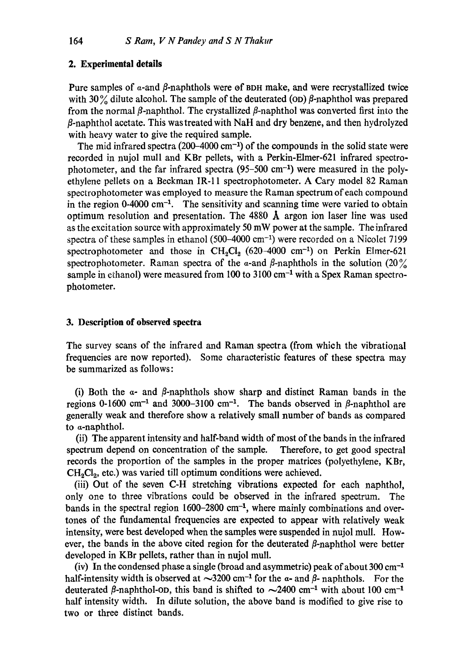#### **2. Experimental details**

Pure samples of  $\alpha$ -and  $\beta$ -naphthols were of BDH make, and were recrystallized twice with 30% dilute alcohol. The sample of the deuterated (OD)  $\beta$ -naphthol was prepared from the normal  $\beta$ -naphthol. The crystallized  $\beta$ -naphthol was converted first into the  $\beta$ -naphthol acetate. This was treated with NaH and dry benzene, and then hydrolyzed with heavy water to give the required sample.

The mid infrared spectra (200–4000 cm<sup>-1</sup>) of the compounds in the solid state were recorded in nujol mull and KBr pellets, with a Perkin-Elmer-621 infrared spectrephotometer, and the far infrared spectra  $(95-500 \text{ cm}^{-1})$  were measured in the polyethylene pellets on a Beckman IR-11 speetrophotometer. A Cary model 82 Raman spectrophotometer was employed to measure the Raman spectrum of each compound in the region  $0.4000 \text{ cm}^{-1}$ . The sensitivity and scanning time were varied to obtain optimum resolution and presentation. The 4880  $\AA$  argon ion laser line was used as the excitation source with approximately 50 mW power at the sample. The infrared spectra of these samples in ethanol  $(500-4000 \text{ cm}^{-1})$  were recorded on a Nicolet 7199 spectrophotometer and those in  $CH_2Cl_2$  (620-4000 cm<sup>-1</sup>) on Perkin Elmer-621 spectrophotometer. Raman spectra of the  $\alpha$ -and  $\beta$ -naphthols in the solution (20%) sample in ethanol) were measured from 100 to  $3100 \text{ cm}^{-1}$  with a Spex Raman spectrophotometer.

#### **3. Description of observed spectra**

The survey scans of the infrared and Raman spectra (from which the vibrational frequencies are now reported). Some characteristic features of these spectra may be summarized as follows:

(i) Both the  $\alpha$ - and  $\beta$ -naphthols show sharp and distinct Raman bands in the regions 0-1600 cm<sup>-1</sup> and 3000-3100 cm<sup>-1</sup>. The bands observed in  $\beta$ -naphthol are generally weak and therefore show a relatively small number of bands as compared to a-naphthol.

(ii) The apparent intensity and half-band width of most of the bands in the infrared spectrum depend on concentration of the sample. Therefore, to get good spectral records the proportion of the samples in the proper matrices (polyethylene, KBr,  $CH<sub>2</sub>Cl<sub>2</sub>$ , etc.) was varied till optimum conditions were achieved.

(iii) Out of the seven C-H stretching vibrations expected for each naphthol, only one to three vibrations could be observed in the infrared spectrum. The bands in the spectral region  $1600-2800$  cm<sup>-1</sup>, where mainly combinations and overtones of the fundamental frequencies are expected to appear with relatively weak intensity, were best developed when the samples were suspended in nujol mull. However, the bands in the above cited region for the deuterated  $\beta$ -naphthol were better developed in KBr pellets, rather than in nujol mull.

(iv) In the condensed phase a single (broad and asymmetric) peak of about  $300 \text{ cm}^{-1}$ half-intensity width is observed at  $\sim$ 3200 cm<sup>-1</sup> for the  $\alpha$ - and  $\beta$ - naphthols. For the deuterated  $\beta$ -naphthol-op, this band is shifted to  $\sim$ 2400 cm<sup>-1</sup> with about 100 cm<sup>-1</sup> half intensity width. In dilute solution, the above band is modified to give rise to two or three distinct bands.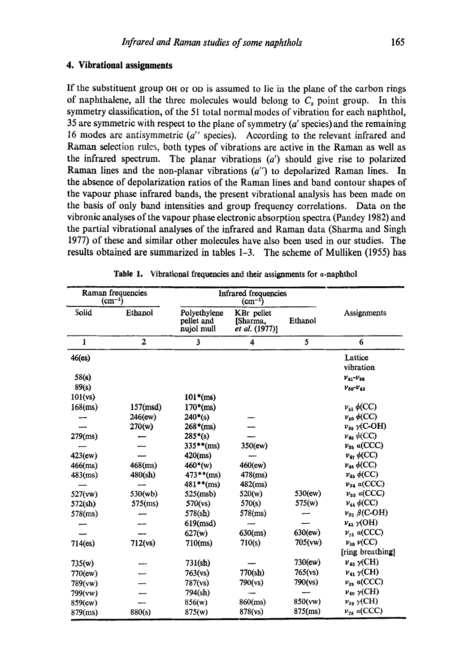If the substituent group OH or OD is assumed to lie in the plane of the carbon rings of naphthalene, all the three molecules would belong to  $C_s$  point group. In this symmetry classification, of the 51 total normal modes of vibration for each naphthol, 35 are symmetric with respect to the plane of symmetry (a' species) and the remaining 16 modes are antisymmetric *(a"* species). According to the relevant infrared and Raman selection rules, both types of vibrations are active in the Raman as well as the infrared spectrum. The planar vibrations  $(a')$  should give rise to polarized Raman lines and the non-planar vibrations *(a")* to depolarized Raman lines. In the absence of depolarization ratios of the Raman lines and band contour shapes of the vapour phase infrared bands, the present vibrational analysis has been made on the basis of only band intensities and group frequency correlations. Data on the vibronic analyses of the vapour phase electronic absorption spectra (Pandey 1982) and the partial vibrational analyses of the infrared and Raman data (Sharma and Singh 1977) of these and similar other molecules have also been used in our studies. The results obtained are summarized in tables 1-3. The scheme of Mulliken (1955) has

| Raman frequencies<br>$(cm^{-1})$ |                         | Infrared frequencies<br>$(cm^{-1})$      |                                          |            |                            |
|----------------------------------|-------------------------|------------------------------------------|------------------------------------------|------------|----------------------------|
| Solid                            | Ethanol                 | Polyethylene<br>pellet and<br>nujol mull | KBr pellet<br>[Sharma,<br>et al. (1977)] | Ethanol    | Assignments                |
| $\mathbf{1}$                     | $\overline{\mathbf{2}}$ | 3                                        | 4                                        | 5          | 6                          |
| $46$ (es)                        |                         |                                          |                                          |            | Lattice<br>vibration       |
| 58(s)                            |                         |                                          |                                          |            | $V_{41} - V_{30}$          |
| 89(s)                            |                         |                                          |                                          |            | $v_{30}$ - $v_{43}$        |
| 101(vs)                          |                         | $101*(ms)$                               |                                          |            |                            |
| $168$ (ms)                       | $157 \text{(msd)}$      | $170*(ms)$                               |                                          |            | $\nu_{51}$ $\phi$ (CC)     |
|                                  | 246(ew)                 | $240*(s)$                                |                                          |            | $\nu_{50}$ $\phi$ (CC)     |
|                                  | 270(w)                  | $268*(ms)$                               |                                          |            | $\nu_{49}$ $\gamma$ (C-OH) |
| $279$ (ms)                       |                         | $285*(s)$                                |                                          |            | $\nu_{48} \phi(CC)$        |
|                                  |                         | $335**$ (ms)                             | 350(ew)                                  |            | $v_{35}$ a(CCC)            |
| $423$ (ew)                       |                         | $420$ (ms)                               |                                          |            | $\nu_4$ , $\phi$ (CC)      |
| $466$ (ms)                       | $468$ (ms)              | $460*(w)$                                | 460(ew)                                  |            | $\nu_{46} \phi(CC)$        |
| 483(ms)                          | 480(sh)                 | $473**$ (ms)                             | $478$ (ms)                               |            | $\nu_{45} \phi(CC)$        |
|                                  |                         | $481**$ (ms)                             | $482$ (ms)                               |            | $v_{34}$ a(CCC)            |
| 527(vw)                          | 530(wb)                 | 525(msb)                                 | 520(w)                                   | 530(ew)    | $v_{33}$ a(CCC)            |
| 572(sh)                          | $575$ (ms)              | 570(vs)                                  | 570(s)                                   | 575(w)     | $\nu_{44} \phi(CC)$        |
| $578$ (ms)                       |                         | 578(sh)                                  | $578$ (ms)                               |            | $v_{32}$ $\beta$ (C-OH)    |
|                                  |                         | 619(msd)                                 |                                          |            | $\nu_{43}$ $\gamma$ (OH)   |
|                                  |                         | 627(w)                                   | $630$ (ms)                               | $630$ (ew) | $v_{31}$ a(CCC)            |
| 714(e <sub>s</sub> )             | 712(vs)                 | $710$ (ms)                               | 710(s)                                   | 705(vw)    | $\nu_{30}$ $\nu$ (CC)      |
|                                  |                         |                                          |                                          |            | [ring breathing]           |
| 735(w)                           |                         | 731(sh)                                  |                                          | 730(ew)    | $v_{42}$ $\gamma$ (CH)     |
| 770(ew)                          |                         | 763(vs)                                  | 770(sh)                                  | 765(vs)    | $\nu_{41}$ $\gamma$ (CH)   |
| 789(vw)                          |                         | 787(vs)                                  | 790(vs)                                  | 790(vs)    | $v_{29}$ a(CCC)            |
| 799(vw)                          |                         | 794(sh)                                  |                                          |            | $v_{40}$ $\gamma$ (CH)     |
| 859(ew)                          |                         | 856(w)                                   | $860$ (ms)                               | 850(vw)    | $\nu_{39}$ $\gamma$ (CH)   |
| 879(ms)                          | 880(s)                  | 875(w)                                   | 878(vs)                                  | $875$ (ms) | $v_{28}$ a(CCC)            |

Table 1. Vibrational frequencies and their assignments for  $\alpha$ -naphthol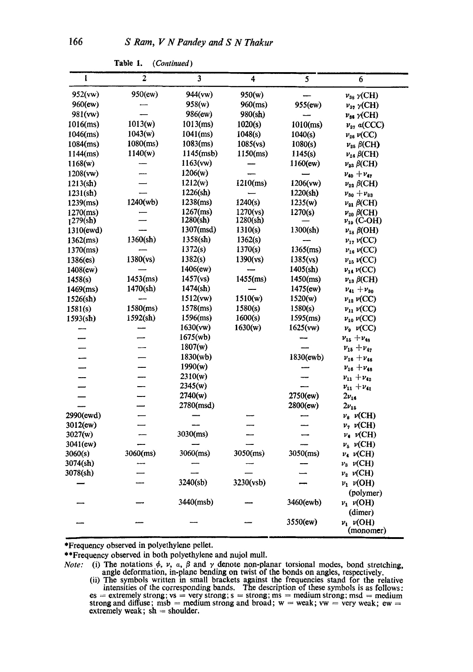| $\mathbf{I}$          | $\overline{2}$ | 3                   | 4           | $\overline{\mathbf{5}}$ | 6                             |
|-----------------------|----------------|---------------------|-------------|-------------------------|-------------------------------|
| 952(vw)               | 950(ew)        | 944(vw)             | 950(w)      |                         | $v_{38}$ $\gamma$ (CH)        |
| 960(ew)               |                | 958(w)              | $960$ (ms)  | 955(ew)                 | $\nu_{37}$ $\gamma$ (CH)      |
| 981(vw)               |                | 986(ew)             | 980(sh)     |                         | $\nu_{36}$ $\gamma$ (CH)      |
| $1016$ (ms)           | 1013(w)        | $1013$ (ms)         | 1020(s)     | $1010$ (ms)             | $v_{27}$ a(CCC)               |
| $1046$ (ms)           | 1043(w)        | $1041$ (ms)         | 1048(s)     | 1040(s)                 | $\nu_{26}\nu({\rm CC})$       |
| $1084$ (ms)           | $1080$ (ms)    | $1083$ (ms)         | 1085(vs)    | 1080(s)                 | $v_{25}$ $\beta$ (CH)         |
| $1144$ (ms)           | 1140(w)        | $1145 \text{(msb)}$ | $1150$ (ms) | 1145(s)                 | $v_{24}$ $\beta$ (CH)         |
| 1168(w)               |                | 1163(vw)            |             | 1160(ew)                | $\nu_{23}$ $\beta$ (CH)       |
| 1208(vw)              |                | 1206(w)             |             |                         | $v_{40} + v_{47}$             |
| 1213( <sub>sh</sub> ) |                | 1212(w)             | $1210$ (ms) | 1206(vw)                | $\nu_{22}$ $\beta$ (CH)       |
| 1231(sh)              |                | 1226(sh)            |             | 1220(sh)                | $v_{30} + v_{33}$             |
| $1239$ (ms)           | 1240(wb)       | $1238$ (ms)         | 1240(s)     | 1235(w)                 | $\nu_{21}$ $\beta$ (CH)       |
| $1270$ (ms)           |                | $1267$ (ms)         | 1270(vs)    | 1270(s)                 | $v_{20}$ $\beta$ (CH)         |
| 1279(sh)              |                | 1280(sh)            | 1280(sh)    |                         | $v_{19}$ (C-OH)               |
| 1310(ewd)             |                | 1307(msd)           | 1310(s)     | 1300(sh)                | $v_{18}$ $\beta$ (OH)         |
| $1362$ (ms)           | 1360(sh)       | 1358(sh)            | 1362(s)     |                         | $\nu_{12} \nu({\rm CC})$      |
| $1370$ (ms)           |                | 1372(s)             | 1370(s)     | $1365$ (ms)             | $v_{16}$ $v$ (CC)             |
| $1386$ (es)           | 1380(vs)       | 1382(s)             | 1390(vs)    | 1385(vs)                | $v_{15}$ $\nu$ (CC)           |
| 1408(ew)              |                | 1406(ew)            |             | 1405(sh)                | $\nu_{14}\,\nu({\rm CC})$     |
| 1458(s)               | $1453$ (ms)    | 1457(vs)            | $1455$ (ms) | 1450(ms)                | $\nu_{13} \beta$ (CH)         |
| $1469$ (ms)           | 1470(sh)       | 1474 <b>(sh)</b>    |             | 1475(ew)                | $v_{41} + v_{30}$             |
| 1526(sh)              |                | 1512(vw)            | 1510(w)     | 1520(w)                 | $\nu_{12}\nu({\rm CC})$       |
| 1581(s)               | $1580$ (ms)    | $1578$ (ms)         | 1580(s)     | 1580(s)                 | $\nu_{11}$ $\nu$ (CC)         |
| 1593(sh)              | 1592(sh)       | $1596$ (ms)         | 1600(s)     | $1595$ (ms)             | $\nu_{10} \nu (CC)$           |
|                       |                | 1630(vw)            | 1630(w)     | 1625(vw)                | $v_{9}$ $\nu$ (CC)            |
|                       |                | 1675(wb)            |             |                         | $v_{15} + v_{48}$             |
|                       |                | 1807(w)             |             |                         | $v_{15} + v_{47}$             |
|                       |                | 1830(wb)            |             | 1830(ewb)               | $v_{16} + v_{46}$             |
|                       |                | 1990(w)             |             |                         | $v_{16} + v_{46}$             |
| —                     |                | 2310(w)             |             |                         | $v_{11} + v_{42}$             |
|                       |                | 2345(w)             |             |                         | $v_{11} + v_{41}$             |
|                       |                | 2740(w)             |             | 2750(ew)                | $2\nu_{16}$                   |
|                       |                | 2780(msd)           |             | 2800(ew)                | $2v_{15}$                     |
| 2990(ewd)             |                |                     |             |                         | $v_{\rm s}$ $\nu$ (CH)        |
| 3012(ew)              |                |                     |             |                         | $\nu$ <sub>7</sub> $\nu$ (CH) |
| 3027(w)               |                | $3030$ (ms)         |             |                         | $\nu_{\rm c}$ $\nu$ (CH)      |
| $3041$ (ew)           |                |                     |             |                         | $\nu_{\rm a}$ $\nu$ (CH)      |
| 3060(s)               | 3060(ms)       | 3060(ms)            | 3050(ms)    | $3050$ (ms)             | $v_4$ v(CH)                   |
| 3074(sh)              |                |                     |             |                         | $v_3 \nu$ (CH)                |
| 3078(sh)              |                |                     |             |                         | $v_2$ v(CH)                   |
|                       |                | 3240(sb)            | 3230(vsb)   |                         | $\nu_1$ $\nu(OH)$             |
|                       |                |                     |             |                         | (polymer)                     |
|                       |                | 3440(msb)           |             | 3460(ewb)               | $v_1$ v(OH)                   |
|                       |                |                     |             |                         | (dimer)                       |
|                       |                |                     |             | 3550(ew)                | $\nu_1$ $\nu(OH)$             |
|                       |                |                     |             |                         | (monomer)                     |

Table 1. *(Continued)* 

\*Frequency observed in polyethylene pellet.

\*\*Frequency observed in both polyethylene and nujol mull.

,i

*Note:* (i) The notations  $\phi$ ,  $\nu$ ,  $\alpha$ ,  $\beta$  and  $\gamma$  denote non-planar torsional modes, bond stretching, angle deformation, in-plane bending on twist of the bonds on angles, respectively.

<sup>(</sup>ii) The symbols written in small brackets against the frequencies stand for the relative intensities of the corresponding bands. The description of these symbols is as follows:  $es =$  extremely strong;  $vs =$  very strong;  $s =$  strong; ms  $=$  medium strong; msd  $=$  medium strong and diffuse; msb  $=$  medium strong and broad;  $w =$  weak;  $vw =$  very weak; ew  $=$ extremely weak;  $sh = shoulder$ .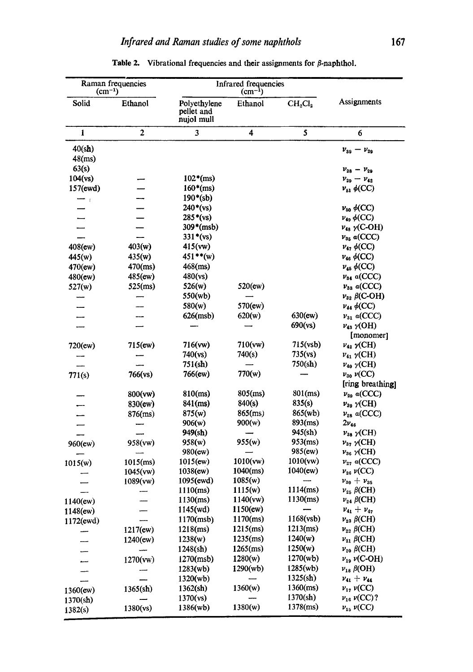| Raman frequencies<br>$\text{(cm}^{-1})$ |              | Infrared frequencies<br>$(cm^{-1})$      |             |                                 |                            |
|-----------------------------------------|--------------|------------------------------------------|-------------|---------------------------------|----------------------------|
| Solid                                   | Ethanol      | Polyethylene<br>pellet and<br>nujol mull | Ethanol     | CH <sub>2</sub> Cl <sub>2</sub> | Assignments                |
| 1                                       | $\mathbf{2}$ | 3                                        | 4           | 5                               | 6                          |
| 40(sh)                                  |              |                                          |             |                                 | $v_{39} - v_{29}$          |
| $48$ (ms)                               |              |                                          |             |                                 |                            |
| 63(s)                                   |              |                                          |             |                                 | $v_{28} - v_{29}$          |
| 104(vs)                                 |              | $102*(ms)$                               |             |                                 | $v_{29} - v_{42}$          |
| 157(ewd)                                |              | $160*(ms)$                               |             |                                 | $v_{51}$ $\phi$ (CC)       |
| $\,$ $\,$ $\,$                          |              | $190*(sb)$                               |             |                                 |                            |
|                                         |              | $240*(vs)$                               |             |                                 | $\nu_{50}$ $\phi$ (CC)     |
|                                         |              | $285*(vs)$                               |             |                                 | $\nu_{49}$ $\phi$ (CC)     |
|                                         |              | $309*(msb)$                              |             |                                 | $v_{48}$ $\gamma$ (C-OH)   |
|                                         |              | $331*(vs)$                               |             |                                 | $v_{35}$ a(CCC)            |
| 408(ew)                                 | 403(w)       | 415(ww)                                  |             |                                 | $\nu_4$ , $\phi$ (CC)      |
| 445(w)                                  | 435(w)       | $451**(w)$                               |             |                                 | $v_{46} \phi(CC)$          |
| 470(ew)                                 | $470$ (ms)   | $468$ (ms)                               |             |                                 | $\nu_{45} \phi(CC)$        |
| 480(ew)                                 | 485(ew)      | 480(vs)                                  |             |                                 | $v_{34}$ a(CCC)            |
| 527(w)                                  | $525$ (ms)   | 526(w)                                   | 520(ew)     |                                 | $v_{33}$ a(CCC)            |
|                                         |              | 550(wb)                                  |             |                                 | $v_{32}$ $\beta$ (C-OH)    |
|                                         |              | 580(w)                                   | 570(ew)     |                                 | $\nu_{44}$ $\phi$ (CC)     |
|                                         |              | 626(msb)                                 | 620(w)      | $630$ (ew)                      | $v_{31}$ a(CCC)            |
|                                         |              |                                          |             | 690(ys)                         | $\nu_{43} \gamma$ (OH)     |
|                                         |              |                                          |             |                                 | [monomer]                  |
| 720(ew)                                 | 715(ew)      | 716(vw)                                  | 710(vw)     | 715(vsb)                        | $\nu_{42}$ $\gamma$ (CH)   |
|                                         |              | 740(vs)                                  | 740(s)      | 735(vs)                         | $\nu_{41}$ $\gamma$ (CH)   |
|                                         |              | 751(sh)                                  |             | 750(sh)                         | $\nu_{40}$ $\gamma$ (CH)   |
| 771(s)                                  | 766(vs)      | 766(ew)                                  | 770(w)      |                                 | $\nu_{30}$ $\nu$ (CC)      |
|                                         |              |                                          |             |                                 | [ring breathing]           |
|                                         | 800(vw)      | $810$ (ms)                               | $805$ (ms)  | $801$ (ms)                      | $v_{29}$ a(CCC)            |
|                                         | 830(ew)      | 841(ms)                                  | 840(s)      | 835(s)                          | $\nu_{39} \gamma$ (CH)     |
|                                         | $876$ (ms)   | 875(w)                                   | 865(ms)     | 865(wb)                         | $v_{28}$ a(CCC)            |
|                                         |              | 906(w)                                   | 900(w)      | 893(ms)                         | $2v_{46}$                  |
|                                         |              | 949(sh)                                  |             | 945(sh)                         | $\nu_{38}$ $\gamma$ (CH)   |
| $960$ (ew)                              | 958(vw)      | 958(w)                                   | 955(w)      | $953$ (ms)                      | $v_{37}$ $\gamma$ (CH)     |
|                                         |              | 980(ew)                                  |             | 985(ew)                         | $v_{36}$ $\gamma$ (CH)     |
| 1015(w)                                 | $1015$ (ms)  | $1015$ (ew)                              | 1010(ww)    | 1010(vw)                        | $v_{27}$ a(CCC)            |
|                                         | 1045(vw)     | 1038(ew)                                 | $1040$ (ms) | 1040(ew)                        | $\nu_{26} \nu({\rm CC})$   |
|                                         | 1089(vw)     | 1095(ewd)                                | 1085(w)     |                                 | $v_{30} + v_{35}$          |
|                                         |              | $1110$ (ms)                              | 1115(w)     | $1114$ (ms)                     | $\nu_{25}$ $\beta$ (CH)    |
| 1140(ew)                                |              | 1130(ms)                                 | 1140(vw)    | 1130(ms)                        | $v_{24}$ $\beta$ (CH)      |
| 1148(ew)                                |              | 1145(wd)                                 | 1150(ew)    |                                 | $v_{41} + v_{47}$          |
| 1172(ewd)                               |              | 1170(msb)                                | $1170$ (ms) | 1168(vsb)                       | $\nu_{23}$ $\beta$ (CH)    |
|                                         | 1217(ew)     | $1218$ (ms)                              | $1215$ (ms) | $1213$ (ms)                     | $v_{22}$ $\beta$ (CH)      |
|                                         | 1240(ew)     | 1238(w)                                  | $1235$ (ms) | 1240(w)                         | $\nu_{21}$ $\beta$ (CH)    |
|                                         |              | 1248(sh)                                 | $1265$ (ms) | 1250(w)                         | $v_{20}$ $\beta$ (CH)      |
|                                         | 1270(vw)     | 1270(msb)                                | 1280(w)     | 1270(wb)                        | $\nu_{19}$ $\nu$ (C-OH)    |
|                                         |              | 1283(wb)                                 | 1290(wb)    | 1285(wb)                        | $\nu_{18}$ $\beta$ (OH)    |
|                                         |              | 1320(wb)                                 |             | 1325(sh)                        | $v_{41} + v_{44}$          |
| $1360$ (ew)                             | 1365(sh)     | 1362(sh)                                 | 1360(w)     | $1360$ (ms)                     | $\nu_1$ , $\nu(CC)$        |
| 1370(sh)                                |              | 1370(vs)                                 |             | 1370(sh)                        | $\nu_{16} \nu(CC)$ ?       |
| 1382(s)                                 | 1380(vs)     | 1386(wb)                                 | 1380(w)     | 1378(ms)                        | $\nu_{15}$ $\nu({\rm CC})$ |

Table 2. Vibrational frequencies and their assignments for  $\beta$ -naphthol.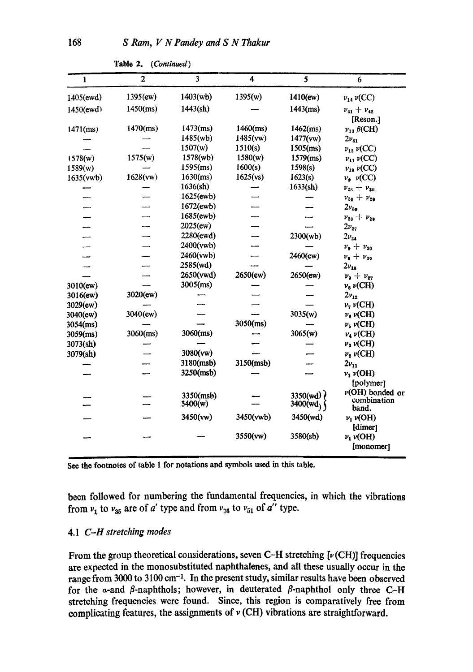| 1           | $\overline{2}$ | 3                    | 4           | 5                    | 6                                           |
|-------------|----------------|----------------------|-------------|----------------------|---------------------------------------------|
| 1405(ewd)   | 1395(ew)       | 1403(wb)             | 1395(w)     | 1410(ew)             | $\nu_{14} \nu(CC)$                          |
| 1450(ewd)   | $1450$ (ms)    | 1443(sh)             |             | $1443$ (ms)          | $v_{41} + v_{42}$                           |
| $1471$ (ms) | $1470$ (ms)    | $1473$ (ms)          | $1460$ (ms) | $1462$ (ms)          | [Reson.]<br>$\nu_{13}$ $\beta$ (CH)         |
|             |                | 1485(wb)             | 1485(vw)    | 1477(vw)             | $2v_{41}$                                   |
|             |                | 1507(w)              | 1510(s)     | 1505(ms)             | $\nu_{12}\nu({\rm CC})$                     |
| 1578(w)     | 1575(w)        | 1578(wb)             | 1580(w)     | $1579$ (ms)          | $\nu_{11} \nu(CC)$                          |
| 1589(w)     |                | $1595$ (ms)          | 1600(s)     | 1598(s)              | $\nu_{10}$ $\nu$ (CC)                       |
| 1635(vwb)   | 1628(vw)       | $1630$ (ms)          | 1625(vs)    | 1623(s)              | $\nu_{\bullet}$ $\nu$ (CC)                  |
|             |                | 1636(sh)             |             | 1633 <b>(sh)</b>     | $v_{28} + v_{30}$                           |
|             |                | 1625(ewb)            |             |                      | $v_{39} + v_{29}$                           |
|             |                | 1672(ewb)            |             |                      | $2v_{3}$                                    |
|             |                | 1685(ewb)            |             |                      | $v_{28} + v_{29}$                           |
|             |                | $2025$ (ew)          |             |                      | $2v_{27}$                                   |
|             |                | 2280(ewd)            |             | 2300(wb)             | $2v_{24}$                                   |
|             |                | 2400(vwb)            |             |                      | $v_{9} + v_{30}$                            |
|             |                | 2460(vwb)            |             | 2460(ew)             | $v_9 + v_{39}$                              |
|             | ----           | 2585(wd)             |             |                      | $2v_{18}$                                   |
|             |                | 2650(vwd)            | 2650(ew)    | 2650(ew)             | $v_{\theta}+v_{27}$                         |
| 3010(ew)    |                | $3005$ (ms)          |             |                      | $v_8 \nu$ (CH)                              |
| 3016(ew)    | 3020(ew)       |                      |             |                      | $2v_{12}$                                   |
| 3029(ew)    |                |                      |             |                      | $\nu$ <sub>7</sub> $\nu$ (CH)               |
| 3040(ew)    | 3040(ew)       |                      |             | 3035(w)              | $v_6 \nu$ (CH)                              |
| $3054$ (ms) |                |                      | $3050$ (ms) |                      | $\nu_{\delta}$ $\nu$ (CH)                   |
| $3059$ (ms) | $3060$ (ms)    | 3060(ms)             |             | 3065(w)              | $\nu_4 \nu$ (CH)                            |
| 3073(sh)    |                |                      |             |                      | $\nu_3 \nu$ (CH)                            |
| 3079(sh)    |                | 3080(vw)             |             |                      | $v_2\nu$ (CH)                               |
|             |                | 3180(msb)            | 3150(msb)   |                      | $2v_{11}$                                   |
|             |                | 3250(msb)            |             |                      | $v_1$ v(OH)                                 |
|             |                |                      |             |                      | [polymer]                                   |
|             |                | 3350(msb)<br>3400(w) |             | 3350(wd)<br>3400(wd) | $\nu(OH)$ bonded or<br>combination<br>band. |
|             |                | 3450(vw)             | 3450(vwb)   | 3450(wd)             | $\nu_1 \nu(OH)$                             |
|             |                |                      | 3550(vw)    | 3580(sb)             | [dimer]<br>$v_1$ $v(OH)$<br>[monomer]       |

**Table** 2. (Continued)

**See the** footnotes of table 1 for notations and symbols used in this table.

been followed for numbering the fundamental frequencies, in which the vibrations from  $v_1$  to  $v_{35}$  are of a' type and from  $v_{36}$  to  $v_{51}$  of a'' type.

## 4.1 *C-H stretching modes*

From the group theoretical considerations, seven C-H stretching  $[\nu(\text{CH})]$  frequencies are expected in the monosubstituted naphthalenes, and all these usually occur in the range from 3000 to 3100 cm<sup>-1</sup>. In the present study, similar results have been observed for the  $\alpha$ -and  $\beta$ -naphthols; however, in deuterated  $\beta$ -naphthol only three C-H stretching frequencies were found. Since, this region is comparatively free from complicating features, the assignments of  $\nu$  (CH) vibrations are straightforward.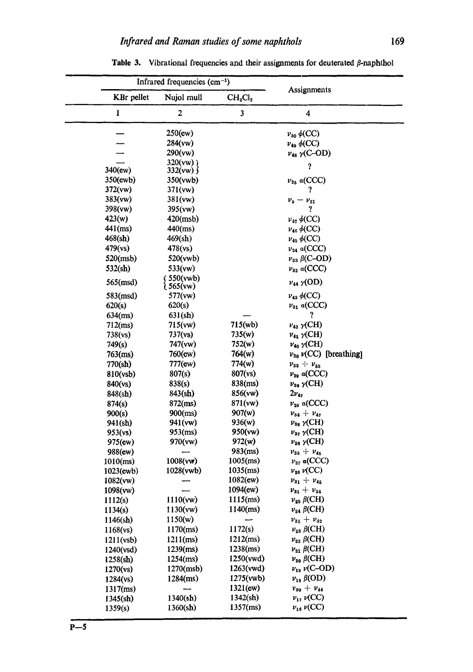|                    | Infrared frequencies $(cm-1)$ |                                 |                                                      |  |  |
|--------------------|-------------------------------|---------------------------------|------------------------------------------------------|--|--|
|                    | KBr pellet<br>Nujol mull      | CH <sub>2</sub> Cl <sub>2</sub> | Assignments                                          |  |  |
| $\mathbf{1}$       | $\overline{\mathbf{c}}$       | 3                               | 4                                                    |  |  |
|                    | $250$ (ew)                    |                                 | $v_{50}$ $\phi$ (CC)                                 |  |  |
|                    | 284(vw)                       |                                 | $\nu_{49}$ $\phi$ (CC)                               |  |  |
|                    | 290(vw)                       |                                 | $\nu_{48}$ $\gamma$ (C-OD)                           |  |  |
|                    | 320(vw)                       |                                 | J                                                    |  |  |
| $340$ (ew)         | 332(vw)                       |                                 |                                                      |  |  |
| 350(ewb)           | 350(vwb)                      |                                 | $\nu_{35}$ a(CCC)                                    |  |  |
| 372(vw)            | 371(vw)                       |                                 | ?                                                    |  |  |
| 383(vw)            | 381(vw)                       |                                 | $v_9 - v_{21}$<br>?                                  |  |  |
| 398(vw)<br>423(w)  | 395(vw)                       |                                 | $v_{47} \phi(CC)$                                    |  |  |
| $441$ (ms)         | $420$ (msb)<br>$440$ (ms)     |                                 |                                                      |  |  |
| 468(sh)            | 469(sh)                       |                                 | $\nu_{46} \phi (CC)$                                 |  |  |
| 479(ys)            | 478(vs)                       |                                 | $\nu_{45} \phi(CC)$                                  |  |  |
|                    |                               |                                 | $v_{34}$ a(CCC)                                      |  |  |
| 520(msb)           | 520(wwb)                      |                                 | $\nu_{33}$ $\beta$ (C-OD)                            |  |  |
| 532(sh)            | 533(vw)<br>550(vwb)           |                                 | $v_{32}$ a(CCC)                                      |  |  |
| $565 \text{(msd)}$ | $(565$ (vw)                   |                                 | $v_{44}$ $\gamma$ (OD)                               |  |  |
| 583(msd)           | 577(vw)                       |                                 | $v_{43} \phi(CC)$                                    |  |  |
| 620(s)             | 620(s)                        |                                 | $v_{31}$ a(CCC)                                      |  |  |
| $634$ (ms)         | 631(sh)                       |                                 | ?                                                    |  |  |
| $712$ (ms)         | 715(vw)                       | $715(\text{wb})$                | $\nu_{42}$ $\gamma$ (CH)                             |  |  |
| 738(vs)            | 737(vs)                       | 735(w)                          | $v_{41}$ $\gamma$ (CH)                               |  |  |
| 749(s)             | 747(vw)                       | 752(w)                          | $\nu_{40}$ $\gamma$ (CH)                             |  |  |
| $763$ (ms)         | 760(ew)                       | 764(w)                          | $\nu_{30}$ $\nu$ (CC) [breathing]                    |  |  |
| 770(sh)            | 777(ew)                       | 774(w)                          | $v_{33} + v_{50}$                                    |  |  |
| 810(vsb)           | 807(s)                        | 807(vs)                         | $v_{29}$ a(CCC)                                      |  |  |
| 840(vs)            | 838(s)                        | 838(ms)                         | $\nu_{39}$ $\gamma$ (CH)                             |  |  |
| 848(sh)            | 843(sh)                       | 856(vw)                         | $2\nu_{42}$                                          |  |  |
| 874(s)             | $872$ (ms)                    | 871(vw)                         | $v_{28}$ a(CCC)                                      |  |  |
| 900(s)             | $900$ (ms)                    | 907(w)                          | $v_{34} + v_{47}$                                    |  |  |
| 941(sh)            | 941(vw)                       | 936(w)                          | $\nu_{38} \gamma$ (CH)                               |  |  |
| 953(vs)            | $953$ (ms)                    | 950(vw)<br>972(w)               | $\nu_{37}$ $\gamma$ (CH)<br>$\nu_{36}$ $\gamma$ (CH) |  |  |
| 975(ew)<br>988(ew) | 970(vw)                       | $983$ (ms)                      | $v_{33} + v_{45}$                                    |  |  |
| $1010$ (ms)        | 1008(vw)                      | $1005$ (ms)                     | $v_{27}$ a(CCC)                                      |  |  |
| $1023$ (ewb)       | 1028(vwb)                     | $1035$ (ms)                     | $\nu_{26}$ $\nu$ (CC)                                |  |  |
| 1082(vw)           |                               | $1082$ (ew)                     | $v_{31} + v_{45}$                                    |  |  |
| 1098(vw)           |                               | 1094(ew)                        | $v_{31} + v_{34}$                                    |  |  |
| 1112(s)            | 1110(vw)                      | $1115$ (ms)                     | $\nu_{\rm 25}$ $\beta{\rm (CH)}$                     |  |  |
| 1134(s)            | 1130(vw)                      | $1140$ (ms)                     | $\nu_{24}$ $\beta$ (CH)                              |  |  |
| $1146$ (sh)        | 1150(w)                       |                                 | $v_{31} + v_{32}$                                    |  |  |
| 1168(vs)           | $1170$ (ms)                   | 1172(s)                         | $\nu_{23}$ $\beta$ (CH)                              |  |  |
| 1211(vsb)          | $1211$ (ms)                   | $1212$ (ms)                     | $\nu_{22}$ $\beta$ (CH)                              |  |  |
| 1240(vsd)          | $1239$ (ms)                   | $1238$ (ms)                     | $\nu_{21}$ $\beta$ (CH)                              |  |  |
| 1258(sh)           | $1254$ (ms)                   | 1250(vwd)                       | $v_{20}$ $\beta$ (CH)                                |  |  |
| 1270(vs)           | 1270(msb)                     | 1263(vwd)                       | $\nu_{19}$ $\nu({\rm C\text{--}OD})$                 |  |  |
| 1284(vs)           | $1284$ (ms)                   | 1275(vwb)                       | $v_{18}$ $\beta$ (OD)                                |  |  |
| $1317$ (ms)        |                               | 1321(ew)                        | $v_{30} + v_{44}$                                    |  |  |
| 1345(sh)           | 1340 <b>(sh)</b>              | 1342(sh)                        | $\nu_{17} \nu (CC)$                                  |  |  |
| 1359(s)            | 1360(sh)                      | $1357$ (ms)                     | $\nu_{16}\,\nu({\rm CC})$                            |  |  |

Table 3. Vibrational frequencies and their assignments for deuterated  $\beta$ -naphthol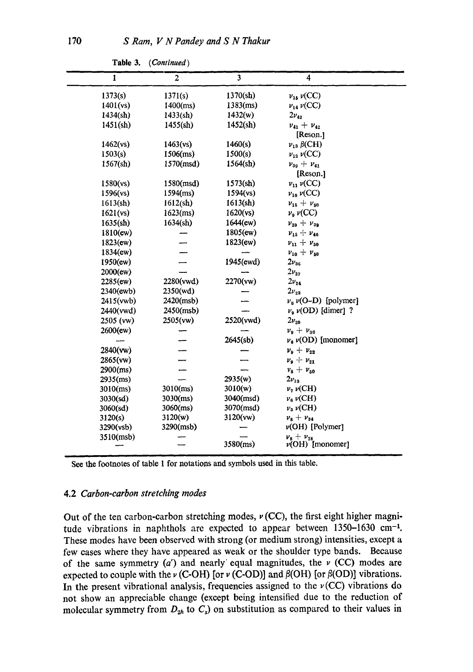| $\mathbf{I}$     | $\boldsymbol{2}$ | $\overline{\mathbf{3}}$ | 4                            |
|------------------|------------------|-------------------------|------------------------------|
| 1373(s)          | 1371(s)          | 1370(sh)                | $\nu_{15}\nu({\rm CC})$      |
| $1401$ (vs)      | $1400$ (ms)      | $1383$ (ms)             | $\nu_{14}\nu({\rm CC})$      |
| 1434(sh)         | 1433(sh)         | 1432(w)                 | $2\nu_{42}$                  |
| 1451(sh)         | 1455(sh)         | 1452(sh)                | $v_{41} + v_{42}$            |
|                  |                  |                         | [Reson.]                     |
| 1462(vs)         | 1463(vs)         | 1460(s)                 | $\nu_{13}$ $\beta$ (CH)      |
| 1503(s)          | $1506$ (ms)      | 1500(s)                 | $\nu_{12} \nu(CC)$           |
| 1567(sh)         | 1570(msd)        | 1564(sh)                | $v_{39} + v_{41}$            |
|                  |                  |                         | [Reson.]                     |
| 1580(vs)         | 1580(msd)        | 1573(sh)                | $\nu_{11} \nu (CC)$          |
| 1596(vs)         | $1594$ (ms)      | 1594(vs)                | $\nu_{10} \nu (CC)$          |
| 1613(h)          | 1612(sh)         | 1613(sh)                | $v_{15} + v_{50}$            |
| 1621(vs)         | $1623$ (ms)      | 1620(vs)                | $\nu_{\theta}$ $\nu$ (CC)    |
| 1635(sh)         | 1634(sh)         | 1644(ew)                | $v_{29} + v_{39}$            |
| 1810(ew)         |                  | $1805$ (ew)             | $v_{15} + v_{46}$            |
| $1823$ (ew)      |                  | 1823(ew)                | $v_{11} + v_{50}$            |
| 1834(ew)         |                  |                         | $v_{10} + v_{50}$            |
| 1950(ew)         |                  | 1945(ewd)               | $2v_{36}$                    |
| 2000(ew)         |                  |                         | $2\nu_{27}$                  |
| 2285(ew)         | 2280(vwd)        | 2270(vw)                | $2v_{24}$                    |
| $2340$ (ewb)     | 2350(wd)         |                         | $2v_{22}$                    |
| 2415(vwb)        | 2420(msb)        |                         | $v_8 v(O-D)$ [polymer]       |
| 2440(vwd)        | 2450(msb)        |                         | $v_9$ $v(OD)$ [dimer] ?      |
| 2505 (vw)        | 2505(vw)         | 2520(vwd)               | $2v_{20}$                    |
| 2600(ew)         |                  |                         | $v_9 + v_{36}$               |
|                  |                  | 2645(sb)                | $v_8 \nu$ (OD) [monomer]     |
| 2840(vw)         |                  |                         | $v_{9} + v_{22}$             |
| 2865(vw)         |                  |                         | $v_{9} + v_{21}$             |
| 2900(ms)         |                  |                         | $v_8 + v_{50}$               |
| $2935$ (ms)      |                  | 2935(w)                 | $2v_{13}$                    |
| $3010$ (ms)      | $3010$ (ms)      | 3010(w)                 | $\nu$ , $\nu$ (CH)           |
| $3030({\rm sd})$ | 3030(ms)         | $3040 \, (msd)$         | $\nu_6 \nu$ (CH)             |
| 3060(sd)         | $3060$ (ms)      | $3070 \text{(msd)}$     | $\nu_3 \nu$ (CH)             |
| 3120(s)          | 3120(w)          | 3120(vw)                | $v_8 + v_{34}$               |
| 3290(vsb)        | 3290(msb)        |                         | $\nu(OH)$ [Polymer]          |
| 3510(msb)        |                  | 3580(ms)                | $\nu_{\rm s} + \nu_{\rm ss}$ |
|                  |                  |                         | $\nu(OH)$ [monomer]          |

**Table** 3. *(Continued)* 

See the footnotes of table l for notations and symbols used in this table.

#### 4.2 *Carbon-carbon stretching modes*

Out of the ten carbon-carbon stretching modes,  $\nu$  (CC), the first eight higher magnitude vibrations in naphthols are expected to appear between  $1350-1630$  cm<sup>-1</sup>. These modes have been observed with strong (or medium strong) intensities, except a few eases where they have appeared as weak or the shoulder type bands. Because of the same symmetry  $(a')$  and nearly' equal magnitudes, the  $\nu$  (CC) modes are expected to couple with the  $\nu$  (C-OH) [or  $\nu$  (C-OD)] and  $\beta$ (OH) [or  $\beta$ (OD)] vibrations. In the present vibrational analysis, frequencies assigned to the  $\nu$  (CC) vibrations do not show an appreciable change (except being intensified due to the reduction of molecular symmetry from  $D_{2h}$  to  $C_s$ ) on substitution as compared to their values in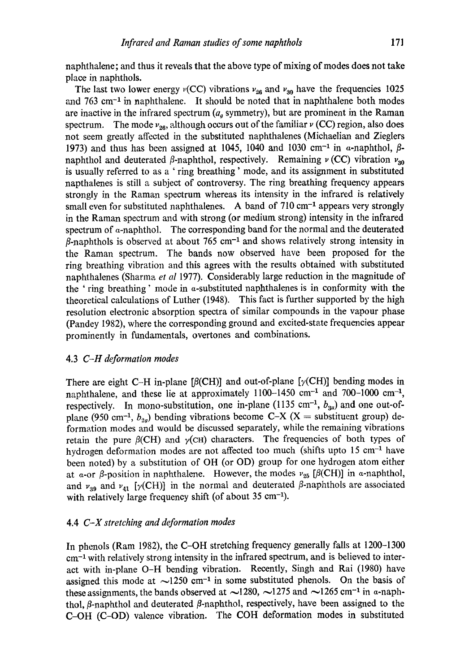naphthalene; and thus it reveals that the above type of mixing of modes does not take place in naphthols.

The last two lower energy  $v(CC)$  vibrations  $v_{26}$  and  $v_{30}$  have the frequencies 1025 and  $763 \text{ cm}^{-1}$  in naphthalene. It should be noted that in naphthalene both modes are inactive in the infrared spectrum  $(a<sub>a</sub>$  symmetry), but are prominent in the Raman spectrum. The mode  $v_{26}$ , although occurs out of the familiar  $\nu$  (CC) region, also does not seem greatly affected in the substituted naphthalenes (Michaelian and Zieglers 1973) and thus has been assigned at 1045, 1040 and 1030 cm<sup>-1</sup> in  $\alpha$ -naphthol,  $\beta$ naphthol and deuterated  $\beta$ -naphthol, respectively. Remaining  $\nu$  (CC) vibration  $\nu_{30}$ is usually referred to as a ' ring breathing' mode, and its assignment in substituted napthalenes is still a subject of controversy. The ring breathing frequency appears strongly in the Raman spectrum whereas its intensity in the infrared is relatively small even for substituted naphthalenes. A band of  $710 \text{ cm}^{-1}$  appears very strongly in the Raman spectrum and with strong (or medium strong) intensity in the infrared spectrum of  $\alpha$ -naphthol. The corresponding band for the normal and the deuterated  $\beta$ -naphthols is observed at about 765 cm<sup>-1</sup> and shows relatively strong intensity in the Raman spectrum. The bands now observed have been proposed for the ring breathing vibration and this agrees with the results obtained with substituted naphthalenes (Sharma *et al* 1977). Considerably large reduction in the magnitude of the 'ring breathing' mode in a-substituted naphthalenes is in conformity with the theoretical calculations of Luther (1948). This fact is further supported by the high resolution electronic absorption spectra of similar compounds in the vapour phase (Pandey 1982), where the corresponding ground and excited-state frequencies appear prominently in fundamentals, overtones and combinations.

## 4.3 *C-H deformation modes*

There are eight C-H in-plane [ $\beta$ (CH)] and out-of-plane [ $\gamma$ (CH)] bending modes in naphthalene, and these lie at approximately  $1100-1450$  cm<sup>-1</sup> and  $700-1000$  cm<sup>-1</sup>, respectively. In mono-substitution, one in-plane (1135 cm<sup>-1</sup>,  $b_{3u}$ ) and one out-ofplane (950 cm<sup>-1</sup>,  $b_{2g}$ ) bending vibrations become C-X (X = substituent group) deformation modes and would be discussed separately, while the remaining vibrations retain the pure  $\beta$ (CH) and  $\gamma$ (CH) characters. The frequencies of both types of hydrogen deformation modes are not affected too much (shifts upto  $15 \text{ cm}^{-1}$  have been noted) by a substitution of OH (or OD) group for one hydrogen atom either at  $\alpha$ -or  $\beta$ -position in naphthalene. However, the modes  $\nu_{25}$  [ $\beta$ (CH)] in  $\alpha$ -naphthol, and  $v_{39}$  and  $v_{41}$  [ $\gamma$ (CH)] in the normal and deuterated  $\beta$ -naphthols are associated with relatively large frequency shift (of about 35 cm<sup>-1</sup>).

## 4.4 *C-X stretching and deformation modes*

In phenols (Ram 1982), the C-OH stretching frequency generally falls at 1200-1300 cm -1 with relatively strong intensity in the infrared spectrum, and is believed to interact with in-plane O-H bending vibration. Recently, Singh and Rai (1980) have assigned this mode at  $\sim$ 1250 cm<sup>-1</sup> in some substituted phenols. On the basis of these assignments, the bands observed at  $\sim$ 1280,  $\sim$ 1275 and  $\sim$ 1265 cm<sup>-1</sup> in a-naphthol,  $\beta$ -naphthol and deuterated  $\beta$ -naphthol, respectively, have been assigned to the C-OH (C-OD) valence vibration. The COH deformation modes in substituted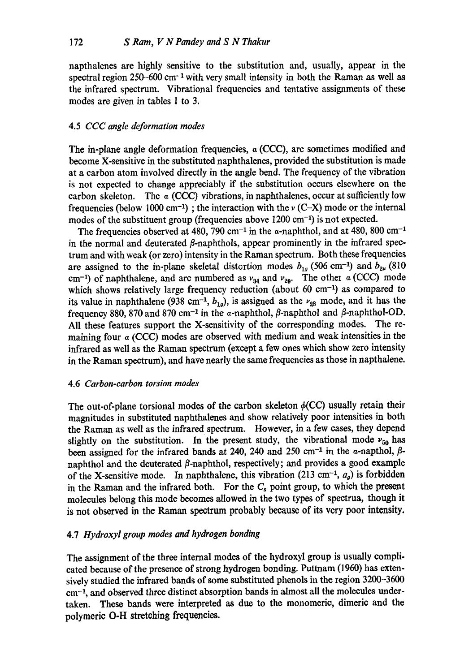napthalenes are highly sensitive to the substitution and, usually, appear in the spectral region 250–600 cm<sup>-1</sup> with very small intensity in both the Raman as well as the infrared spectrum. Vibrational frequencies and tentative assignments of these modes are given in tables 1 to 3.

## 4.5 *CCC angle deformation modes*

The in-plane angle deformation frequencies,  $\alpha$  (CCC), are sometimes modified and become X-sensitive in the substituted naphthalenes, provided the substitution is made at a carbon atom involved directly in the angle bend. The frequency of the vibration is not expected to change appreciably if the substitution occurs elsewhere on the carbon skeleton. The  $\alpha$  (CCC) vibrations, in naphthalenes, occur at sufficiently low frequencies (below 1000 cm<sup>-1</sup>); the interaction with the  $\nu$  (C-X) mode or the internal modes of the substituent group (frequencies above  $1200 \text{ cm}^{-1}$ ) is not expected.

The frequencies observed at 480, 790 cm<sup>-1</sup> in the  $\alpha$ -naphthol, and at 480, 800 cm<sup>-1</sup> in the normal and deuterated  $\beta$ -naphthols, appear prominently in the infrared spectrum and with weak (or zero) intensity in the Raman spectrum. Both these frequencies are assigned to the in-plane skeletal distortion modes  $b_{1g}$  (506 cm<sup>-1</sup>) and  $b_{2u}$  (810 cm<sup>-1</sup>) of naphthalene, and are numbered as  $v_{34}$  and  $v_{29}$ . The other a (CCC) mode which shows relatively large frequency reduction (about 60 cm<sup>-1</sup>) as compared to its value in naphthalene (938 cm<sup>-1</sup>,  $b_{1g}$ ), is assigned as the  $v_{28}$  mode, and it has the frequency 880, 870 and 870 cm<sup>-1</sup> in the a-naphthol,  $\beta$ -naphthol and  $\beta$ -naphthol-OD. All these features support the X-sensitivity of the corresponding modes. The remaining four  $\alpha$  (CCC) modes are observed with medium and weak intensities in the infrared as well as the Raman spectrum (except a few ones which show zero intensity in the Raman spectrum), and have nearly the same frequencies as those in napthalene.

#### 4.6 *Carbon-carbon torsion modes*

The out-of-plane torsional modes of the carbon skeleton  $\phi$ (CC) usually retain their magnitudes in substituted naphthalenes and show relatively poor intensities in both the Raman as well as the infrared spectrum. However, in a few cases, they depend slightly on the substitution. In the present study, the vibrational mode  $v_{50}$  has been assigned for the infrared bands at 240, 240 and 250 cm<sup>-1</sup> in the  $\alpha$ -napthol,  $\beta$ naphthol and the deuterated  $\beta$ -naphthol, respectively; and provides a good example of the X-sensitive mode. In naphthalene, this vibration (213 cm<sup>-1</sup>,  $a<sub>a</sub>$ ) is forbidden in the Raman and the infrared both. For the  $C_s$  point group, to which the present molecules belong this mode becomes allowed in the two types of spectrua, though it is not observed in the Raman spectrum probably because of its very poor intensity.

## 4.7 *Hydroxyl group modes and hydrogen bonding*

The assignment of the three internal modes of the hydroxyl group is usually complicated because of the presence of strong hydrogen bonding. Puttnam (1960) has extensively studied the infrared bands of some substituted phenols in the region 3200-3600  $cm<sup>-1</sup>$ , and observed three distinct absorption bands in almost all the molecules undertaken. These bands were interpreted as due to the monomeric, dimeric and the polymeric O-H stretching frequencies.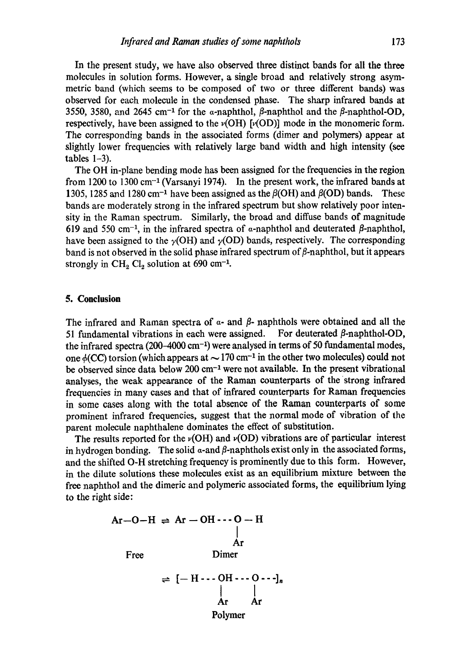In the present study, we have also observed three distinct bands for all the three molecules in solution forms. However, a single broad and relatively strong asymmetric band (which seems to be composed of two or three different bands) was observed for each molecule in the condensed phase. The sharp infrared bands at 3550, 3580, and 2645 cm<sup>-1</sup> for the  $\alpha$ -naphthol,  $\beta$ -naphthol and the  $\beta$ -naphthol-OD, respectively, have been assigned to the  $\nu(OH)$  [ $\nu(OD)$ ] mode in the monomeric form. The corresponding bands in the associated forms (dimer and polymers) appear at slightly lower frequencies with relatively large band width and high intensity (see tables  $1-3$ ).

The OH in-plane bending mode has been assigned for the frequencies in the region from 1200 to 1300 cm<sup>-1</sup> (Varsanyi 1974). In the present work, the infrared bands at 1305, 1285 and 1280 cm<sup>-1</sup> have been assigned as the  $\beta(OH)$  and  $\beta(OD)$  bands. These bands are moderately strong in the infrared spectrum but show relatively poor intensity in the Raman spectrum. Similarly, the broad and diffuse bands of magnitude 619 and 550 cm<sup>-1</sup>, in the infrared spectra of  $\alpha$ -naphthol and deuterated  $\beta$ -naphthol, have been assigned to the  $\gamma$ (OH) and  $\gamma$ (OD) bands, respectively. The corresponding band is not observed in the solid phase infrared spectrum of  $\beta$ -naphthol, but it appears strongly in  $CH_2 Cl_2$  solution at 690 cm<sup>-1</sup>.

## **5. Conclusion**

The infrared and Raman spectra of  $\alpha$ - and  $\beta$ - naphthols were obtained and all the 51 fundamental vibrations in each were assigned. For deuterated  $\beta$ -naphthol-OD, the infrared spectra  $(200-4000 \text{ cm}^{-1})$  were analysed in terms of 50 fundamental modes, one  $\phi$ (CC) torsion (which appears at  $\sim$  170 cm<sup>-1</sup> in the other two molecules) could not be observed since data below  $200 \text{ cm}^{-1}$  were not available. In the present vibrational analyses, the weak appearance of the Raman counterparts of the strong infrared frequencies in many cases and that of infrared counterparts for Raman frequencies in some cases along with the total absence of the Raman counterparts of some prominent infrared frequencies, suggest that the normal mode of vibration of the parent molecule naphthalene dominates the effect of substitution.

The results reported for the v(OH) and *v(OD)* vibrations are of particular interest in hydrogen bonding. The solid  $\alpha$ -and  $\beta$ -naphthols exist only in the associated forms, and the shifted O-H stretching frequency is prominently due to this form. However, in the dilute solutions these molecules exist as an equilibrium mixture between the free naphthol and the dimerie and polymeric associated forms, the equilibrium lying to the right side:

> $Ar-O-H$   $\Rightarrow$   $Ar-OH$   $\cdot \cdot \cdot$   $O-H$ **i**  Ar Free Dimer

$$
\begin{array}{c}\n\Rightarrow [-H \cdots OH \cdots O \cdots]_n \\
\downarrow \qquad \qquad \downarrow \\
Ar \qquad Ar \\
\text{Polymer}\n\end{array}
$$